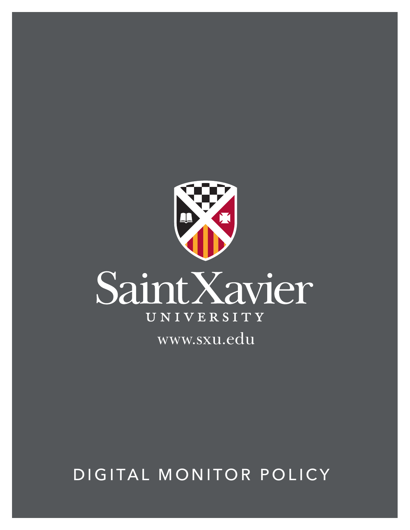

DIGITAL MONITOR POLICY